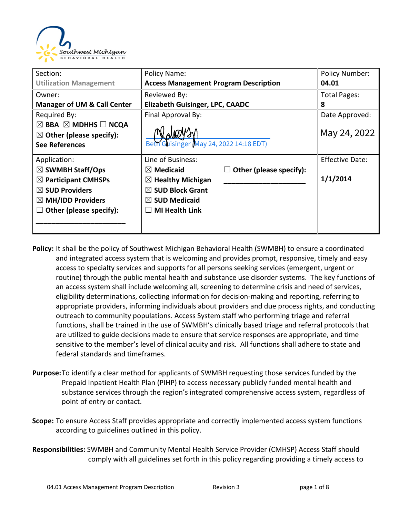

| Section:                                                                                                                                                              | Policy Name:                                                                                                                                                                             | Policy Number:                     |
|-----------------------------------------------------------------------------------------------------------------------------------------------------------------------|------------------------------------------------------------------------------------------------------------------------------------------------------------------------------------------|------------------------------------|
| <b>Utilization Management</b>                                                                                                                                         | <b>Access Management Program Description</b>                                                                                                                                             | 04.01                              |
| Owner:                                                                                                                                                                | Reviewed By:                                                                                                                                                                             | <b>Total Pages:</b>                |
| <b>Manager of UM &amp; Call Center</b>                                                                                                                                | <b>Elizabeth Guisinger, LPC, CAADC</b>                                                                                                                                                   | 8                                  |
| Required By:<br>$\boxtimes$ BBA $\boxtimes$ MDHHS $\Box$ NCQA<br>$\boxtimes$ Other (please specify):<br><b>See References</b>                                         | Final Approval By:<br>Beth Guisinger May 24, 2022 14:18 EDT)                                                                                                                             | Date Approved:<br>May 24, 2022     |
| Application:<br>$\boxtimes$ SWMBH Staff/Ops<br>$\boxtimes$ Participant CMHSPs<br>$\boxtimes$ SUD Providers<br>$\boxtimes$ MH/IDD Providers<br>Other (please specify): | Line of Business:<br>Other (please specify):<br>$\boxtimes$ Medicaid<br>$\boxtimes$ Healthy Michigan<br>$\boxtimes$ SUD Block Grant<br>$\boxtimes$ SUD Medicaid<br><b>MI Health Link</b> | <b>Effective Date:</b><br>1/1/2014 |

- **Policy:** It shall be the policy of Southwest Michigan Behavioral Health (SWMBH) to ensure a coordinated and integrated access system that is welcoming and provides prompt, responsive, timely and easy access to specialty services and supports for all persons seeking services (emergent, urgent or routine) through the public mental health and substance use disorder systems. The key functions of an access system shall include welcoming all, screening to determine crisis and need of services, eligibility determinations, collecting information for decision-making and reporting, referring to appropriate providers, informing individuals about providers and due process rights, and conducting outreach to community populations. Access System staff who performing triage and referral functions, shall be trained in the use of SWMBH's clinically based triage and referral protocols that are utilized to guide decisions made to ensure that service responses are appropriate, and time sensitive to the member's level of clinical acuity and risk. All functions shall adhere to state and federal standards and timeframes.
- **Purpose:**To identify a clear method for applicants of SWMBH requesting those services funded by the Prepaid Inpatient Health Plan (PIHP) to access necessary publicly funded mental health and substance services through the region's integrated comprehensive access system, regardless of point of entry or contact.
- **Scope:** To ensure Access Staff provides appropriate and correctly implemented access system functions according to guidelines outlined in this policy.
- **Responsibilities:** SWMBH and Community Mental Health Service Provider (CMHSP) Access Staff should comply with all guidelines set forth in this policy regarding providing a timely access to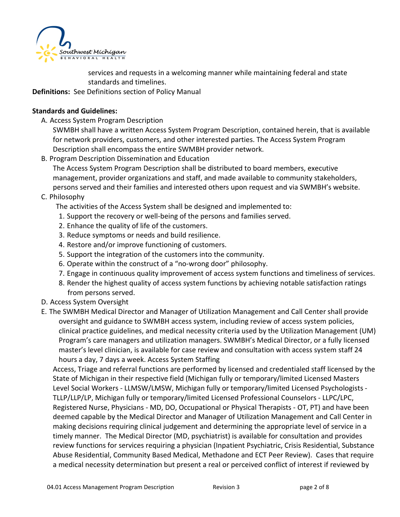

services and requests in a welcoming manner while maintaining federal and state standards and timelines.

**Definitions:** See Definitions section of Policy Manual

#### **Standards and Guidelines:**

A. Access System Program Description

SWMBH shall have a written Access System Program Description, contained herein, that is available for network providers, customers, and other interested parties. The Access System Program Description shall encompass the entire SWMBH provider network.

B. Program Description Dissemination and Education

The Access System Program Description shall be distributed to board members, executive management, provider organizations and staff, and made available to community stakeholders, persons served and their families and interested others upon request and via SWMBH's website.

#### C. Philosophy

The activities of the Access System shall be designed and implemented to:

- 1. Support the recovery or well-being of the persons and families served.
- 2. Enhance the quality of life of the customers.
- 3. Reduce symptoms or needs and build resilience.
- 4. Restore and/or improve functioning of customers.
- 5. Support the integration of the customers into the community.
- 6. Operate within the construct of a "no-wrong door" philosophy.
- 7. Engage in continuous quality improvement of access system functions and timeliness of services.
- 8. Render the highest quality of access system functions by achieving notable satisfaction ratings from persons served.
- D. Access System Oversight
- E. The SWMBH Medical Director and Manager of Utilization Management and Call Center shall provide oversight and guidance to SWMBH access system, including review of access system policies, clinical practice guidelines, and medical necessity criteria used by the Utilization Management (UM) Program's care managers and utilization managers. SWMBH's Medical Director, or a fully licensed master's level clinician, is available for case review and consultation with access system staff 24 hours a day, 7 days a week. Access System Staffing

Access, Triage and referral functions are performed by licensed and credentialed staff licensed by the State of Michigan in their respective field (Michigan fully or temporary/limited Licensed Masters Level Social Workers - LLMSW/LMSW, Michigan fully or temporary/limited Licensed Psychologists - TLLP/LLP/LP, Michigan fully or temporary/limited Licensed Professional Counselors - LLPC/LPC, Registered Nurse, Physicians - MD, DO, Occupational or Physical Therapists - OT, PT) and have been deemed capable by the Medical Director and Manager of Utilization Management and Call Center in making decisions requiring clinical judgement and determining the appropriate level of service in a timely manner. The Medical Director (MD, psychiatrist) is available for consultation and provides review functions for services requiring a physician (Inpatient Psychiatric, Crisis Residential, Substance Abuse Residential, Community Based Medical, Methadone and ECT Peer Review). Cases that require a medical necessity determination but present a real or perceived conflict of interest if reviewed by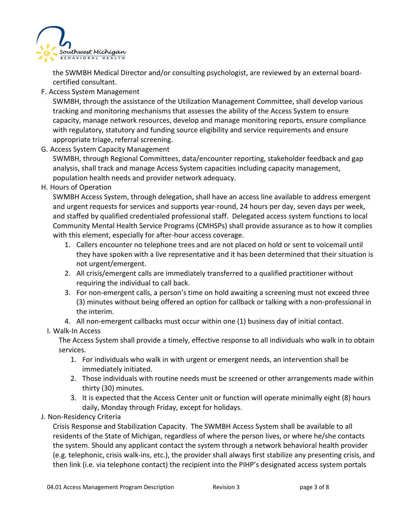

the SWMBH Medical Director and/or consulting psychologist, are reviewed by an external boardcertified consultant.

F. Access System Management

SWMBH, through the assistance of the Utilization Management Committee, shall develop various tracking and monitoring mechanisms that assesses the ability of the Access System to ensure capacity, manage network resources, develop and manage monitoring reports, ensure compliance with regulatory, statutory and funding source eligibility and service requirements and ensure appropriate triage, referral screening.

G. Access System Capacity Management

SWMBH, through Regional Committees, data/encounter reporting, stakeholder feedback and gap analysis, shall track and manage Access System capacities including capacity management, population health needs and provider network adequacy.

H. Hours of Operation

SWMBH Access System, through delegation, shall have an access line available to address emergent and urgent requests for services and supports year-round, 24 hours per day, seven days per week, and staffed by qualified credentialed professional staff. Delegated access system functions to local Community Mental Health Service Programs (CMHSPs) shall provide assurance as to how it complies with this element, especially for after-hour access coverage.

- 1. Callers encounter no telephone trees and are not placed on hold or sent to voicemail until they have spoken with a live representative and it has been determined that their situation is not urgent/emergent.
- 2. All crisis/emergent calls are immediately transferred to a qualified practitioner without requiring the individual to call back.
- 3. For non-emergent calls, a person's time on hold awaiting a screening must not exceed three (3) minutes without being offered an option for callback or talking with a non-professional in the interim.
- 4. All non-emergent callbacks must occur within one (1) business day of initial contact.

# I. Walk-In Access

The Access System shall provide a timely, effective response to all individuals who walk in to obtain services.

- 1. For individuals who walk in with urgent or emergent needs, an intervention shall be immediately initiated.
- 2. Those individuals with routine needs must be screened or other arrangements made within thirty (30) minutes.
- 3. It is expected that the Access Center unit or function will operate minimally eight (8) hours daily, Monday through Friday, except for holidays.
- J. Non-Residency Criteria

Crisis Response and Stabilization Capacity. The SWMBH Access System shall be available to all residents of the State of Michigan, regardless of where the person lives, or where he/she contacts the system. Should any applicant contact the system through a network behavioral health provider (e.g. telephonic, crisis walk-ins, etc.), the provider shall always first stabilize any presenting crisis, and then link (i.e. via telephone contact) the recipient into the PIHP's designated access system portals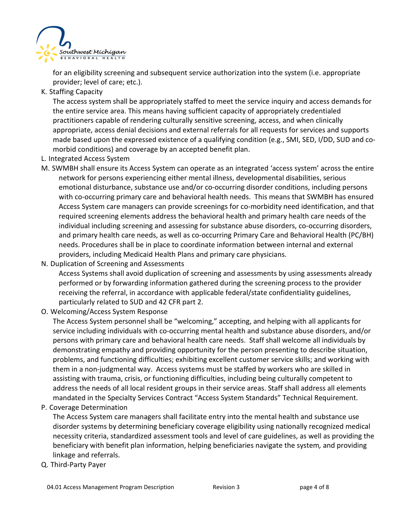

for an eligibility screening and subsequent service authorization into the system (i.e. appropriate provider; level of care; etc.).

K. Staffing Capacity

The access system shall be appropriately staffed to meet the service inquiry and access demands for the entire service area. This means having sufficient capacity of appropriately credentialed practitioners capable of rendering culturally sensitive screening, access, and when clinically appropriate, access denial decisions and external referrals for all requests for services and supports made based upon the expressed existence of a qualifying condition (e.g., SMI, SED, I/DD, SUD and comorbid conditions) and coverage by an accepted benefit plan.

- L. Integrated Access System
- M. SWMBH shall ensure its Access System can operate as an integrated 'access system' across the entire network for persons experiencing either mental illness, developmental disabilities, serious emotional disturbance, substance use and/or co-occurring disorder conditions, including persons with co-occurring primary care and behavioral health needs. This means that SWMBH has ensured Access System care managers can provide screenings for co-morbidity need identification, and that required screening elements address the behavioral health and primary health care needs of the individual including screening and assessing for substance abuse disorders, co-occurring disorders, and primary health care needs, as well as co-occurring Primary Care and Behavioral Health (PC/BH) needs. Procedures shall be in place to coordinate information between internal and external providers, including Medicaid Health Plans and primary care physicians.
- N. Duplication of Screening and Assessments

Access Systems shall avoid duplication of screening and assessments by using assessments already performed or by forwarding information gathered during the screening process to the provider receiving the referral, in accordance with applicable federal/state confidentiality guidelines, particularly related to SUD and 42 CFR part 2.

O. Welcoming/Access System Response

The Access System personnel shall be "welcoming," accepting, and helping with all applicants for service including individuals with co-occurring mental health and substance abuse disorders, and/or persons with primary care and behavioral health care needs. Staff shall welcome all individuals by demonstrating empathy and providing opportunity for the person presenting to describe situation, problems, and functioning difficulties; exhibiting excellent customer service skills; and working with them in a non-judgmental way. Access systems must be staffed by workers who are skilled in assisting with trauma, crisis, or functioning difficulties, including being culturally competent to address the needs of all local resident groups in their service areas. Staff shall address all elements mandated in the Specialty Services Contract "Access System Standards" Technical Requirement.

P. Coverage Determination

The Access System care managers shall facilitate entry into the mental health and substance use disorder systems by determining beneficiary coverage eligibility using nationally recognized medical necessity criteria, standardized assessment tools and level of care guidelines, as well as providing the beneficiary with benefit plan information, helping beneficiaries navigate the system*,* and providing linkage and referrals.

Q. Third-Party Payer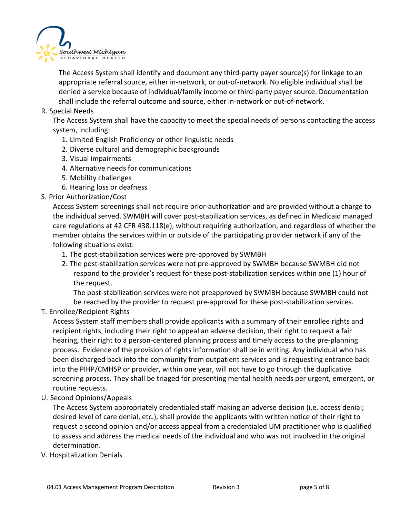

The Access System shall identify and document any third-party payer source(s) for linkage to an appropriate referral source, either in-network, or out-of-network. No eligible individual shall be denied a service because of individual/family income or third-party payer source. Documentation shall include the referral outcome and source, either in-network or out-of-network.

### R. Special Needs

The Access System shall have the capacity to meet the special needs of persons contacting the access system, including:

- 1. Limited English Proficiency or other linguistic needs
- 2. Diverse cultural and demographic backgrounds
- 3. Visual impairments
- 4. Alternative needs for communications
- 5. Mobility challenges
- 6. Hearing loss or deafness

#### S. Prior Authorization/Cost

Access System screenings shall not require prior-authorization and are provided without a charge to the individual served. SWMBH will cover post-stabilization services, as defined in Medicaid managed care regulations at 42 CFR 438.118(e), without requiring authorization, and regardless of whether the member obtains the services within or outside of the participating provider network if any of the following situations exist:

- 1. The post-stabilization services were pre-approved by SWMBH
- 2. The post-stabilization services were not pre-approved by SWMBH because SWMBH did not respond to the provider's request for these post-stabilization services within one (1) hour of the request.

The post-stabilization services were not preapproved by SWMBH because SWMBH could not be reached by the provider to request pre-approval for these post-stabilization services.

T. Enrollee/Recipient Rights

Access System staff members shall provide applicants with a summary of their enrollee rights and recipient rights, including their right to appeal an adverse decision, their right to request a fair hearing, their right to a person-centered planning process and timely access to the pre-planning process. Evidence of the provision of rights information shall be in writing. Any individual who has been discharged back into the community from outpatient services and is requesting entrance back into the PIHP/CMHSP or provider, within one year, will not have to go through the duplicative screening process. They shall be triaged for presenting mental health needs per urgent, emergent, or routine requests.

U. Second Opinions/Appeals

The Access System appropriately credentialed staff making an adverse decision (i.e. access denial; desired level of care denial, etc.), shall provide the applicants with written notice of their right to request a second opinion and/or access appeal from a credentialed UM practitioner who is qualified to assess and address the medical needs of the individual and who was not involved in the original determination.

V. Hospitalization Denials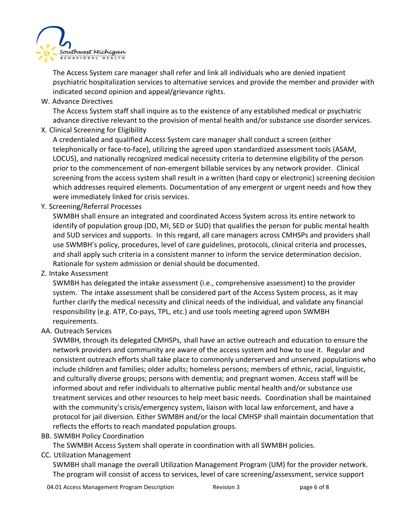

The Access System care manager shall refer and link all individuals who are denied inpatient psychiatric hospitalization services to alternative services and provide the member and provider with indicated second opinion and appeal/grievance rights.

W. Advance Directives

The Access System staff shall inquire as to the existence of any established medical or psychiatric advance directive relevant to the provision of mental health and/or substance use disorder services.

X. Clinical Screening for Eligibility

A credentialed and qualified Access System care manager shall conduct a screen (either telephonically or face-to-face), utilizing the agreed upon standardized assessment tools (ASAM, LOCUS), and nationally recognized medical necessity criteria to determine eligibility of the person prior to the commencement of non-emergent billable services by any network provider. Clinical screening from the access system shall result in a written (hard copy or electronic) screening decision which addresses required elements. Documentation of any emergent or urgent needs and how they were immediately linked for crisis services.

Y. Screening/Referral Processes

SWMBH shall ensure an integrated and coordinated Access System across its entire network to identify of population group (DD, MI, SED or SUD) that qualifies the person for public mental health and SUD services and supports. In this regard, all care managers across CMHSPs and providers shall use SWMBH's policy, procedures, level of care guidelines, protocols, clinical criteria and processes, and shall apply such criteria in a consistent manner to inform the service determination decision. Rationale for system admission or denial should be documented.

Z. Intake Assessment

SWMBH has delegated the intake assessment (i.e., comprehensive assessment) to the provider system. The intake assessment shall be considered part of the Access System process, as it may further clarify the medical necessity and clinical needs of the individual, and validate any financial responsibility (e.g. ATP, Co-pays, TPL, etc.) and use tools meeting agreed upon SWMBH requirements.

AA. Outreach Services

SWMBH, through its delegated CMHSPs, shall have an active outreach and education to ensure the network providers and community are aware of the access system and how to use it. Regular and consistent outreach efforts shall take place to commonly underserved and unserved populations who include children and families; older adults; homeless persons; members of ethnic, racial, linguistic, and culturally diverse groups; persons with dementia; and pregnant women. Access staff will be informed about and refer individuals to alternative public mental health and/or substance use treatment services and other resources to help meet basic needs. Coordination shall be maintained with the community's crisis/emergency system, liaison with local law enforcement, and have a protocol for jail diversion. Either SWMBH and/or the local CMHSP shall maintain documentation that reflects the efforts to reach mandated population groups.

BB. SWMBH Policy Coordination

The SWMBH Access System shall operate in coordination with all SWMBH policies.

CC. Utilization Management

SWMBH shall manage the overall Utilization Management Program (UM) for the provider network. The program will consist of access to services, level of care screening/assessment, service support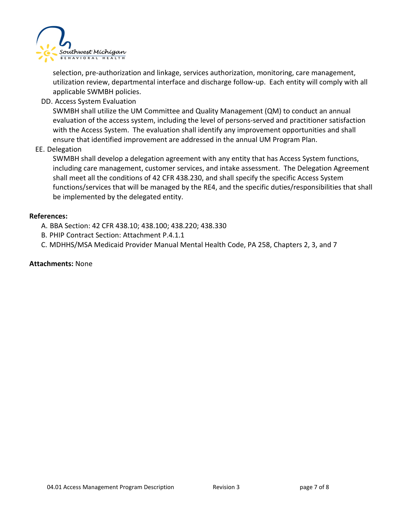

selection, pre-authorization and linkage, services authorization, monitoring, care management, utilization review, departmental interface and discharge follow-up. Each entity will comply with all applicable SWMBH policies.

DD. Access System Evaluation

SWMBH shall utilize the UM Committee and Quality Management (QM) to conduct an annual evaluation of the access system, including the level of persons-served and practitioner satisfaction with the Access System. The evaluation shall identify any improvement opportunities and shall ensure that identified improvement are addressed in the annual UM Program Plan.

EE. Delegation

SWMBH shall develop a delegation agreement with any entity that has Access System functions, including care management, customer services, and intake assessment. The Delegation Agreement shall meet all the conditions of 42 CFR 438.230, and shall specify the specific Access System functions/services that will be managed by the RE4, and the specific duties/responsibilities that shall be implemented by the delegated entity.

#### **References:**

A. BBA Section: 42 CFR 438.10; 438.100; 438.220; 438.330

- B. PHIP Contract Section: Attachment P.4.1.1
- C. MDHHS/MSA Medicaid Provider Manual Mental Health Code, PA 258, Chapters 2, 3, and 7

#### **Attachments:** None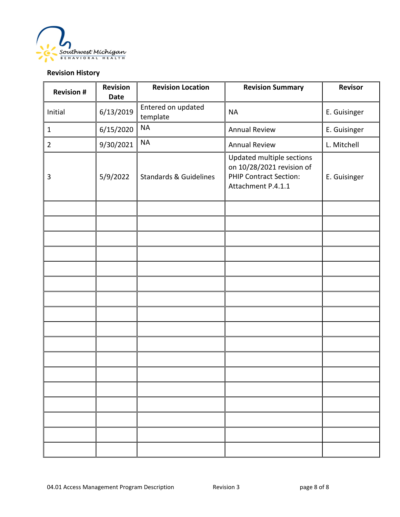

## **Revision History**

| <b>Revision #</b> | <b>Revision</b><br><b>Date</b> | <b>Revision Location</b>          | <b>Revision Summary</b>                                                                                       | <b>Revisor</b> |
|-------------------|--------------------------------|-----------------------------------|---------------------------------------------------------------------------------------------------------------|----------------|
| Initial           | 6/13/2019                      | Entered on updated<br>template    | <b>NA</b>                                                                                                     | E. Guisinger   |
| $\mathbf{1}$      | 6/15/2020                      | <b>NA</b>                         | <b>Annual Review</b>                                                                                          | E. Guisinger   |
| $\overline{2}$    | 9/30/2021                      | <b>NA</b>                         | <b>Annual Review</b>                                                                                          | L. Mitchell    |
| 3                 | 5/9/2022                       | <b>Standards &amp; Guidelines</b> | Updated multiple sections<br>on 10/28/2021 revision of<br><b>PHIP Contract Section:</b><br>Attachment P.4.1.1 | E. Guisinger   |
|                   |                                |                                   |                                                                                                               |                |
|                   |                                |                                   |                                                                                                               |                |
|                   |                                |                                   |                                                                                                               |                |
|                   |                                |                                   |                                                                                                               |                |
|                   |                                |                                   |                                                                                                               |                |
|                   |                                |                                   |                                                                                                               |                |
|                   |                                |                                   |                                                                                                               |                |
|                   |                                |                                   |                                                                                                               |                |
|                   |                                |                                   |                                                                                                               |                |
|                   |                                |                                   |                                                                                                               |                |
|                   |                                |                                   |                                                                                                               |                |
|                   |                                |                                   |                                                                                                               |                |
|                   |                                |                                   |                                                                                                               |                |
|                   |                                |                                   |                                                                                                               |                |
|                   |                                |                                   |                                                                                                               |                |
|                   |                                |                                   |                                                                                                               |                |
|                   |                                |                                   |                                                                                                               |                |